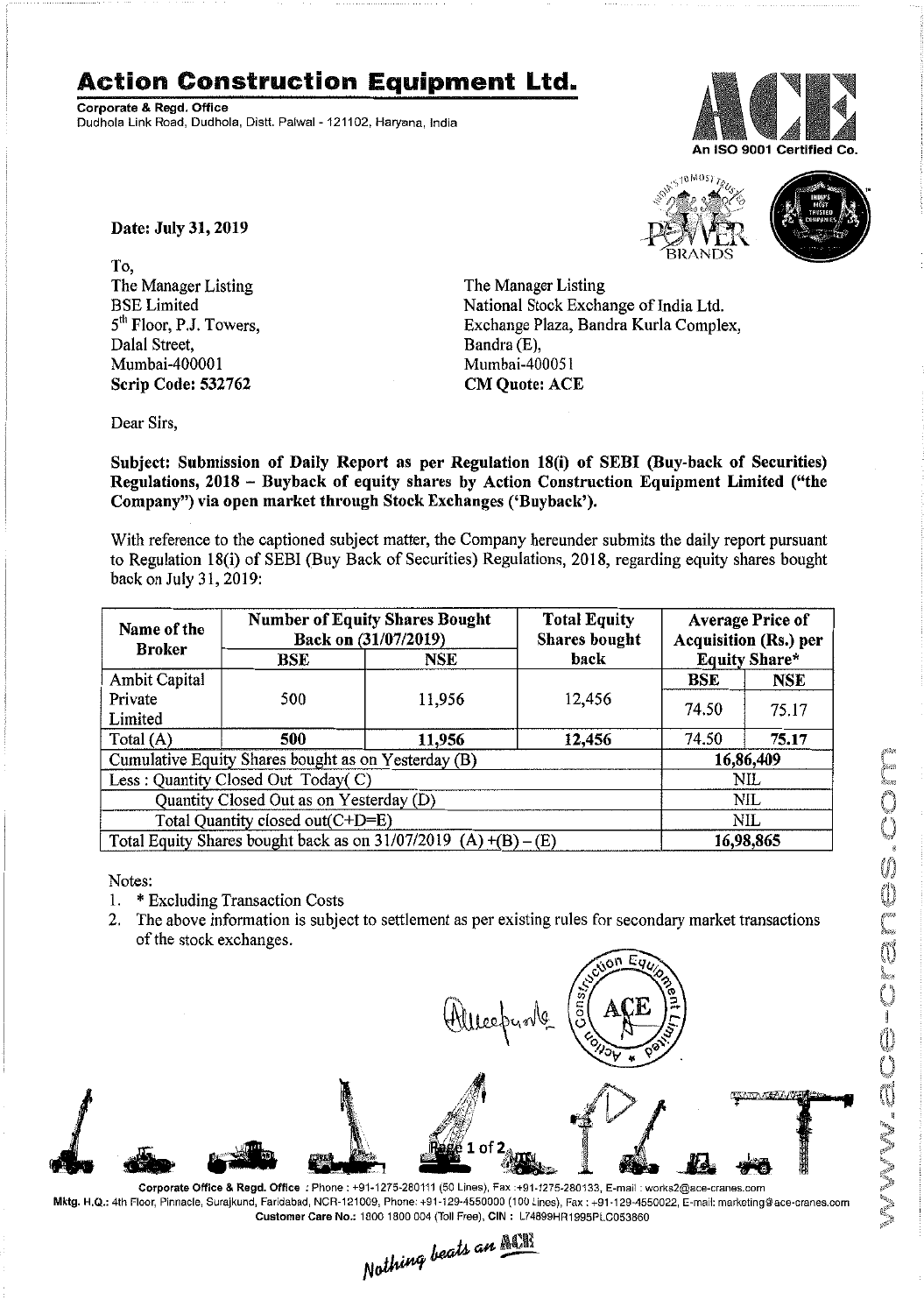## **Action Construction Equipment Ltd.**

Corporate & Regd.Office Dudhola Link Road, Dudhola, Distt. Palwal - 121102, Haryana, India



10 MOS)



Date: July 31, 2019

To, The Manager Listing BSE Limited 5<sup>th</sup> Floor, P.J. Towers, Dalal Street, Mumbai-400001 Scrip Code: 532762

The Manager Listing National Stock Exchange of India Ltd. Exchange Plaza, Bandra Kurla Complex, Bandra (E), Mumbai-400051 CM Quote: ACE

Dear Sirs,

Subject: Submission of Daily Report as per Regulation 18(i) of SEBI (Buy-back of Securities) Regulations, 2018 - Buyback of equity shares by Action Construction Equipment Limited ("the Company") via open market through Stock Exchanges ('Buyback').

With reference to the captioned subject matter, the Company hereunder submits the daily report pursuant to Regulation 18(i) of SEBI (Buy Back of Securities) Regulations, 2018, regarding equity shares bought back on July 31, 2019:

| Name of the<br><b>Broker</b><br>BSE                               | <b>Number of Equity Shares Bought</b><br>Back on (31/07/2019) |        | <b>Total Equity</b><br><b>Shares bought</b><br>back | <b>Average Price of</b><br>Acquisition (Rs.) per<br><b>Equity Share*</b> |            |  |
|-------------------------------------------------------------------|---------------------------------------------------------------|--------|-----------------------------------------------------|--------------------------------------------------------------------------|------------|--|
|                                                                   | NSE                                                           |        |                                                     |                                                                          |            |  |
| Ambit Capital                                                     |                                                               |        |                                                     | <b>BSE</b>                                                               | <b>NSE</b> |  |
| Private                                                           | 500                                                           | 11,956 | 12,456                                              | 74.50                                                                    | 75.17      |  |
| Limited                                                           |                                                               |        |                                                     |                                                                          |            |  |
| Total $(A)$                                                       | 500                                                           | 11,956 | 12,456                                              | 74.50                                                                    | 75.17      |  |
| Cumulative Equity Shares bought as on Yesterday (B)               |                                                               |        |                                                     |                                                                          | 16,86,409  |  |
| Less: Quantity Closed Out Today(C)                                |                                                               |        |                                                     | <b>NIL</b>                                                               |            |  |
| Quantity Closed Out as on Yesterday (D)                           |                                                               |        |                                                     | <b>NIL</b>                                                               |            |  |
| Total Quantity closed out(C+D=E)                                  |                                                               |        |                                                     | NIL.                                                                     |            |  |
| Total Equity Shares bought back as on $31/07/2019$ (A) +(B) – (E) |                                                               |        |                                                     | 16,98,865                                                                |            |  |

Notes:

- 1. \* Excluding Transaction Costs
- 2. The above information is subject to settlement as per existing rules for secondary market transactions of the stock exchanges.

**TAATAARAANA**  $\frac{1}{2}$ . Corporate Office & Regd. Office: Phone: +91-1275-280111(50 Lines), Fax:+91-1275-280133, E-mail: works2@ace-cranes.com

Mktg. H.Q.: 4th Floor, Pinnacle, Surajkund, Faridabad, NCR-121009, Phone: +91-129-4550000 (100 Lines), Fax: +91-129-4550022, E-mail: marketing@ace-cranes.com

Customer Care No.: 1800 1800 004 (Toll Free), CIN: L74899HR1995PLC053860<br>Nathing beats an Allia